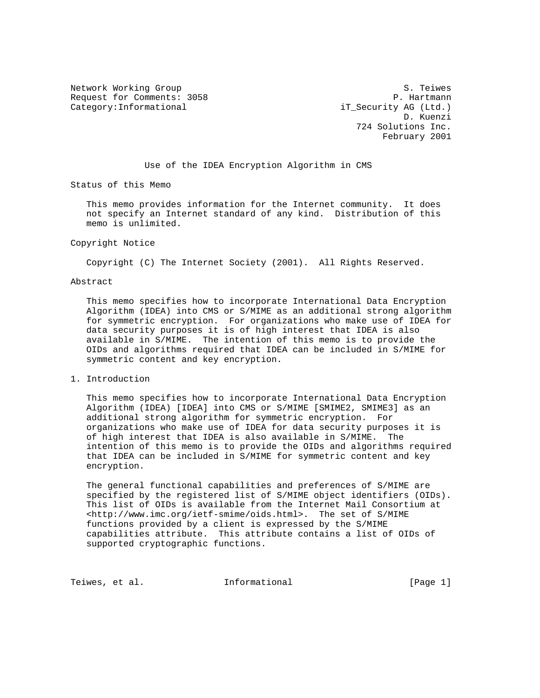Network Working Group S. Teiwes Request for Comments: 3058 P. Hartmann Category:Informational iT\_Security AG (Ltd.)

 D. Kuenzi 724 Solutions Inc. February 2001

Use of the IDEA Encryption Algorithm in CMS

Status of this Memo

 This memo provides information for the Internet community. It does not specify an Internet standard of any kind. Distribution of this memo is unlimited.

## Copyright Notice

Copyright (C) The Internet Society (2001). All Rights Reserved.

## Abstract

 This memo specifies how to incorporate International Data Encryption Algorithm (IDEA) into CMS or S/MIME as an additional strong algorithm for symmetric encryption. For organizations who make use of IDEA for data security purposes it is of high interest that IDEA is also available in S/MIME. The intention of this memo is to provide the OIDs and algorithms required that IDEA can be included in S/MIME for symmetric content and key encryption.

## 1. Introduction

 This memo specifies how to incorporate International Data Encryption Algorithm (IDEA) [IDEA] into CMS or S/MIME [SMIME2, SMIME3] as an additional strong algorithm for symmetric encryption. For organizations who make use of IDEA for data security purposes it is of high interest that IDEA is also available in S/MIME. The intention of this memo is to provide the OIDs and algorithms required that IDEA can be included in S/MIME for symmetric content and key encryption.

 The general functional capabilities and preferences of S/MIME are specified by the registered list of S/MIME object identifiers (OIDs). This list of OIDs is available from the Internet Mail Consortium at <http://www.imc.org/ietf-smime/oids.html>. The set of S/MIME functions provided by a client is expressed by the S/MIME capabilities attribute. This attribute contains a list of OIDs of supported cryptographic functions.

Teiwes, et al. **Informational** [Page 1]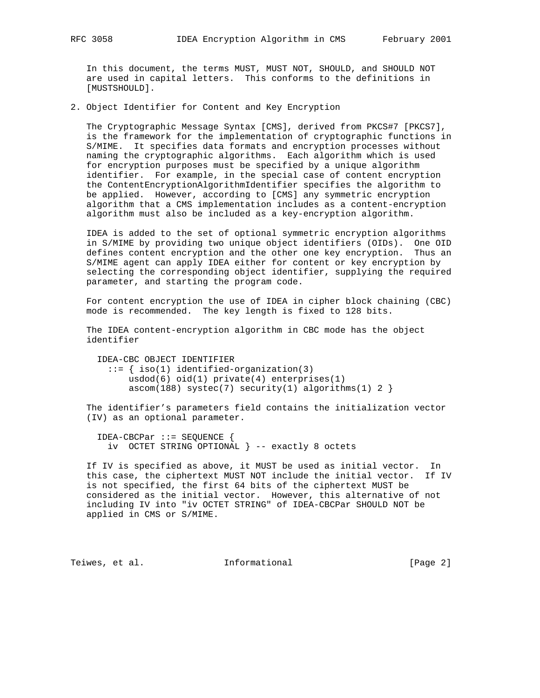In this document, the terms MUST, MUST NOT, SHOULD, and SHOULD NOT are used in capital letters. This conforms to the definitions in [MUSTSHOULD].

2. Object Identifier for Content and Key Encryption

 The Cryptographic Message Syntax [CMS], derived from PKCS#7 [PKCS7], is the framework for the implementation of cryptographic functions in S/MIME. It specifies data formats and encryption processes without naming the cryptographic algorithms. Each algorithm which is used for encryption purposes must be specified by a unique algorithm identifier. For example, in the special case of content encryption the ContentEncryptionAlgorithmIdentifier specifies the algorithm to be applied. However, according to [CMS] any symmetric encryption algorithm that a CMS implementation includes as a content-encryption algorithm must also be included as a key-encryption algorithm.

 IDEA is added to the set of optional symmetric encryption algorithms in S/MIME by providing two unique object identifiers (OIDs). One OID defines content encryption and the other one key encryption. Thus an S/MIME agent can apply IDEA either for content or key encryption by selecting the corresponding object identifier, supplying the required parameter, and starting the program code.

 For content encryption the use of IDEA in cipher block chaining (CBC) mode is recommended. The key length is fixed to 128 bits.

 The IDEA content-encryption algorithm in CBC mode has the object identifier

 IDEA-CBC OBJECT IDENTIFIER ::= { iso(1) identified-organization(3) usdod(6) oid(1) private(4) enterprises(1)  $ascom(188)$  systec(7) security(1) algorithms(1) 2 }

 The identifier's parameters field contains the initialization vector (IV) as an optional parameter.

 IDEA-CBCPar ::= SEQUENCE { iv OCTET STRING OPTIONAL } -- exactly 8 octets

 If IV is specified as above, it MUST be used as initial vector. In this case, the ciphertext MUST NOT include the initial vector. If IV is not specified, the first 64 bits of the ciphertext MUST be considered as the initial vector. However, this alternative of not including IV into "iv OCTET STRING" of IDEA-CBCPar SHOULD NOT be applied in CMS or S/MIME.

Teiwes, et al. **Informational** [Page 2]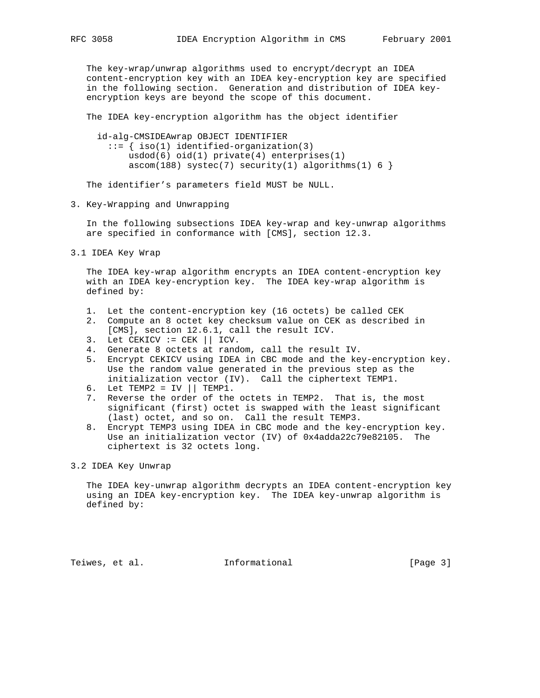The key-wrap/unwrap algorithms used to encrypt/decrypt an IDEA content-encryption key with an IDEA key-encryption key are specified in the following section. Generation and distribution of IDEA key encryption keys are beyond the scope of this document.

The IDEA key-encryption algorithm has the object identifier

 id-alg-CMSIDEAwrap OBJECT IDENTIFIER ::= { iso(1) identified-organization(3) usdod(6) oid(1) private(4) enterprises(1)  $ascom(188)$  systec(7) security(1) algorithms(1) 6 }

The identifier's parameters field MUST be NULL.

3. Key-Wrapping and Unwrapping

 In the following subsections IDEA key-wrap and key-unwrap algorithms are specified in conformance with [CMS], section 12.3.

3.1 IDEA Key Wrap

 The IDEA key-wrap algorithm encrypts an IDEA content-encryption key with an IDEA key-encryption key. The IDEA key-wrap algorithm is defined by:

- 1. Let the content-encryption key (16 octets) be called CEK
- 2. Compute an 8 octet key checksum value on CEK as described in [CMS], section 12.6.1, call the result ICV.
- 3. Let CEKICV := CEK || ICV.
- 4. Generate 8 octets at random, call the result IV.
- 5. Encrypt CEKICV using IDEA in CBC mode and the key-encryption key. Use the random value generated in the previous step as the initialization vector (IV). Call the ciphertext TEMP1.
- 6. Let TEMP2 = IV  $||$  TEMP1.
- 7. Reverse the order of the octets in TEMP2. That is, the most significant (first) octet is swapped with the least significant (last) octet, and so on. Call the result TEMP3.
- 8. Encrypt TEMP3 using IDEA in CBC mode and the key-encryption key. Use an initialization vector (IV) of 0x4adda22c79e82105. The ciphertext is 32 octets long.

## 3.2 IDEA Key Unwrap

 The IDEA key-unwrap algorithm decrypts an IDEA content-encryption key using an IDEA key-encryption key. The IDEA key-unwrap algorithm is defined by:

Teiwes, et al. **Informational** [Page 3]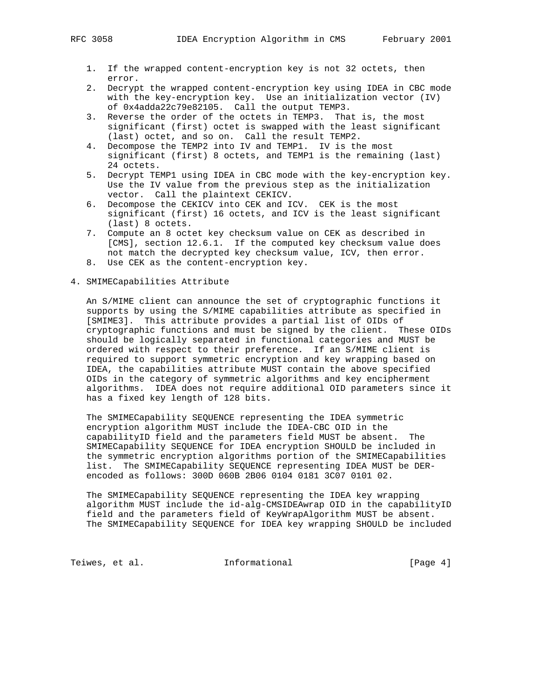- 1. If the wrapped content-encryption key is not 32 octets, then error.
- 2. Decrypt the wrapped content-encryption key using IDEA in CBC mode with the key-encryption key. Use an initialization vector (IV) of 0x4adda22c79e82105. Call the output TEMP3.
- 3. Reverse the order of the octets in TEMP3. That is, the most significant (first) octet is swapped with the least significant (last) octet, and so on. Call the result TEMP2.
- 4. Decompose the TEMP2 into IV and TEMP1. IV is the most significant (first) 8 octets, and TEMP1 is the remaining (last) 24 octets.
- 5. Decrypt TEMP1 using IDEA in CBC mode with the key-encryption key. Use the IV value from the previous step as the initialization vector. Call the plaintext CEKICV.
- 6. Decompose the CEKICV into CEK and ICV. CEK is the most significant (first) 16 octets, and ICV is the least significant (last) 8 octets.
- 7. Compute an 8 octet key checksum value on CEK as described in [CMS], section 12.6.1. If the computed key checksum value does not match the decrypted key checksum value, ICV, then error.
- 8. Use CEK as the content-encryption key.
- 4. SMIMECapabilities Attribute

 An S/MIME client can announce the set of cryptographic functions it supports by using the S/MIME capabilities attribute as specified in [SMIME3]. This attribute provides a partial list of OIDs of cryptographic functions and must be signed by the client. These OIDs should be logically separated in functional categories and MUST be ordered with respect to their preference. If an S/MIME client is required to support symmetric encryption and key wrapping based on IDEA, the capabilities attribute MUST contain the above specified OIDs in the category of symmetric algorithms and key encipherment algorithms. IDEA does not require additional OID parameters since it has a fixed key length of 128 bits.

 The SMIMECapability SEQUENCE representing the IDEA symmetric encryption algorithm MUST include the IDEA-CBC OID in the capabilityID field and the parameters field MUST be absent. The SMIMECapability SEQUENCE for IDEA encryption SHOULD be included in the symmetric encryption algorithms portion of the SMIMECapabilities list. The SMIMECapability SEQUENCE representing IDEA MUST be DER encoded as follows: 300D 060B 2B06 0104 0181 3C07 0101 02.

 The SMIMECapability SEQUENCE representing the IDEA key wrapping algorithm MUST include the id-alg-CMSIDEAwrap OID in the capabilityID field and the parameters field of KeyWrapAlgorithm MUST be absent. The SMIMECapability SEQUENCE for IDEA key wrapping SHOULD be included

Teiwes, et al. 1nformational 1999 [Page 4]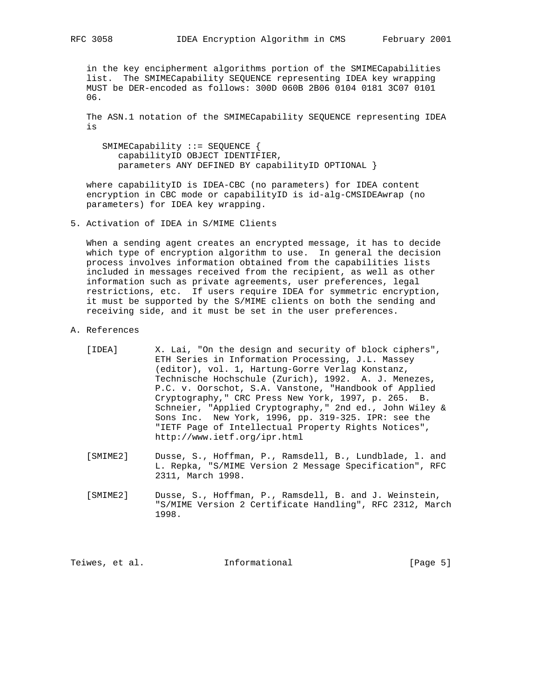in the key encipherment algorithms portion of the SMIMECapabilities list. The SMIMECapability SEQUENCE representing IDEA key wrapping MUST be DER-encoded as follows: 300D 060B 2B06 0104 0181 3C07 0101 06.

 The ASN.1 notation of the SMIMECapability SEQUENCE representing IDEA is

 SMIMECapability ::= SEQUENCE { capabilityID OBJECT IDENTIFIER, parameters ANY DEFINED BY capabilityID OPTIONAL }

 where capabilityID is IDEA-CBC (no parameters) for IDEA content encryption in CBC mode or capabilityID is id-alg-CMSIDEAwrap (no parameters) for IDEA key wrapping.

5. Activation of IDEA in S/MIME Clients

 When a sending agent creates an encrypted message, it has to decide which type of encryption algorithm to use. In general the decision process involves information obtained from the capabilities lists included in messages received from the recipient, as well as other information such as private agreements, user preferences, legal restrictions, etc. If users require IDEA for symmetric encryption, it must be supported by the S/MIME clients on both the sending and receiving side, and it must be set in the user preferences.

- A. References
	- [IDEA] X. Lai, "On the design and security of block ciphers", ETH Series in Information Processing, J.L. Massey (editor), vol. 1, Hartung-Gorre Verlag Konstanz, Technische Hochschule (Zurich), 1992. A. J. Menezes, P.C. v. Oorschot, S.A. Vanstone, "Handbook of Applied Cryptography," CRC Press New York, 1997, p. 265. B. Schneier, "Applied Cryptography," 2nd ed., John Wiley & Sons Inc. New York, 1996, pp. 319-325. IPR: see the "IETF Page of Intellectual Property Rights Notices", http://www.ietf.org/ipr.html
	- [SMIME2] Dusse, S., Hoffman, P., Ramsdell, B., Lundblade, l. and L. Repka, "S/MIME Version 2 Message Specification", RFC 2311, March 1998.
	- [SMIME2] Dusse, S., Hoffman, P., Ramsdell, B. and J. Weinstein, "S/MIME Version 2 Certificate Handling", RFC 2312, March 1998.

Teiwes, et al. **Informational** [Page 5]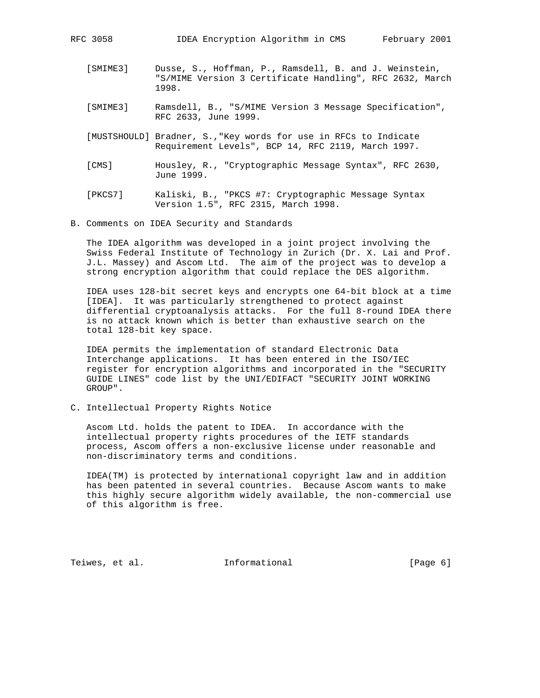- [SMIME3] Dusse, S., Hoffman, P., Ramsdell, B. and J. Weinstein, "S/MIME Version 3 Certificate Handling", RFC 2632, March 1998.
- [SMIME3] Ramsdell, B., "S/MIME Version 3 Message Specification", RFC 2633, June 1999.
- [MUSTSHOULD] Bradner, S.,"Key words for use in RFCs to Indicate Requirement Levels", BCP 14, RFC 2119, March 1997.
- [CMS] Housley, R., "Cryptographic Message Syntax", RFC 2630, June 1999.
- [PKCS7] Kaliski, B., "PKCS #7: Cryptographic Message Syntax Version 1.5", RFC 2315, March 1998.
- B. Comments on IDEA Security and Standards

 The IDEA algorithm was developed in a joint project involving the Swiss Federal Institute of Technology in Zurich (Dr. X. Lai and Prof. J.L. Massey) and Ascom Ltd. The aim of the project was to develop a strong encryption algorithm that could replace the DES algorithm.

 IDEA uses 128-bit secret keys and encrypts one 64-bit block at a time [IDEA]. It was particularly strengthened to protect against differential cryptoanalysis attacks. For the full 8-round IDEA there is no attack known which is better than exhaustive search on the total 128-bit key space.

 IDEA permits the implementation of standard Electronic Data Interchange applications. It has been entered in the ISO/IEC register for encryption algorithms and incorporated in the "SECURITY GUIDE LINES" code list by the UNI/EDIFACT "SECURITY JOINT WORKING GROUP".

C. Intellectual Property Rights Notice

 Ascom Ltd. holds the patent to IDEA. In accordance with the intellectual property rights procedures of the IETF standards process, Ascom offers a non-exclusive license under reasonable and non-discriminatory terms and conditions.

 IDEA(TM) is protected by international copyright law and in addition has been patented in several countries. Because Ascom wants to make this highly secure algorithm widely available, the non-commercial use of this algorithm is free.

Teiwes, et al. **Informational** [Page 6]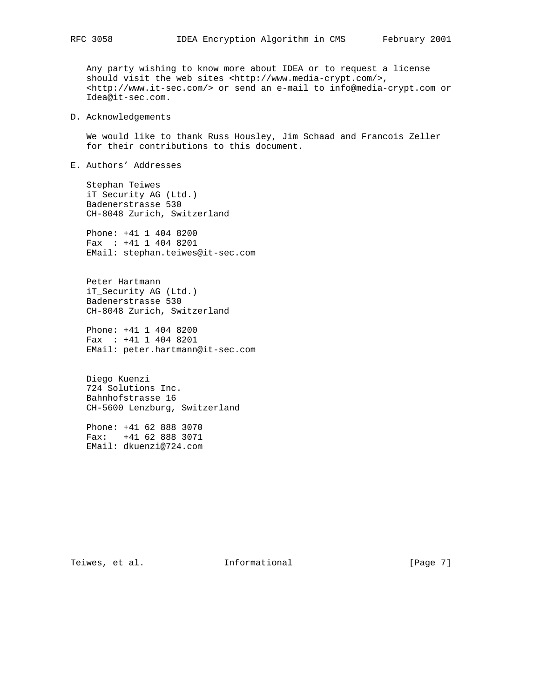Any party wishing to know more about IDEA or to request a license should visit the web sites <http://www.media-crypt.com/>, <http://www.it-sec.com/> or send an e-mail to info@media-crypt.com or Idea@it-sec.com.

## D. Acknowledgements

 We would like to thank Russ Housley, Jim Schaad and Francois Zeller for their contributions to this document.

E. Authors' Addresses

 Stephan Teiwes iT\_Security AG (Ltd.) Badenerstrasse 530 CH-8048 Zurich, Switzerland

 Phone: +41 1 404 8200 Fax : +41 1 404 8201 EMail: stephan.teiwes@it-sec.com

 Peter Hartmann iT\_Security AG (Ltd.) Badenerstrasse 530 CH-8048 Zurich, Switzerland

 Phone: +41 1 404 8200 Fax : +41 1 404 8201 EMail: peter.hartmann@it-sec.com

 Diego Kuenzi 724 Solutions Inc. Bahnhofstrasse 16 CH-5600 Lenzburg, Switzerland

 Phone: +41 62 888 3070 Fax: +41 62 888 3071 EMail: dkuenzi@724.com

Teiwes, et al. 1nformational 1999 [Page 7]